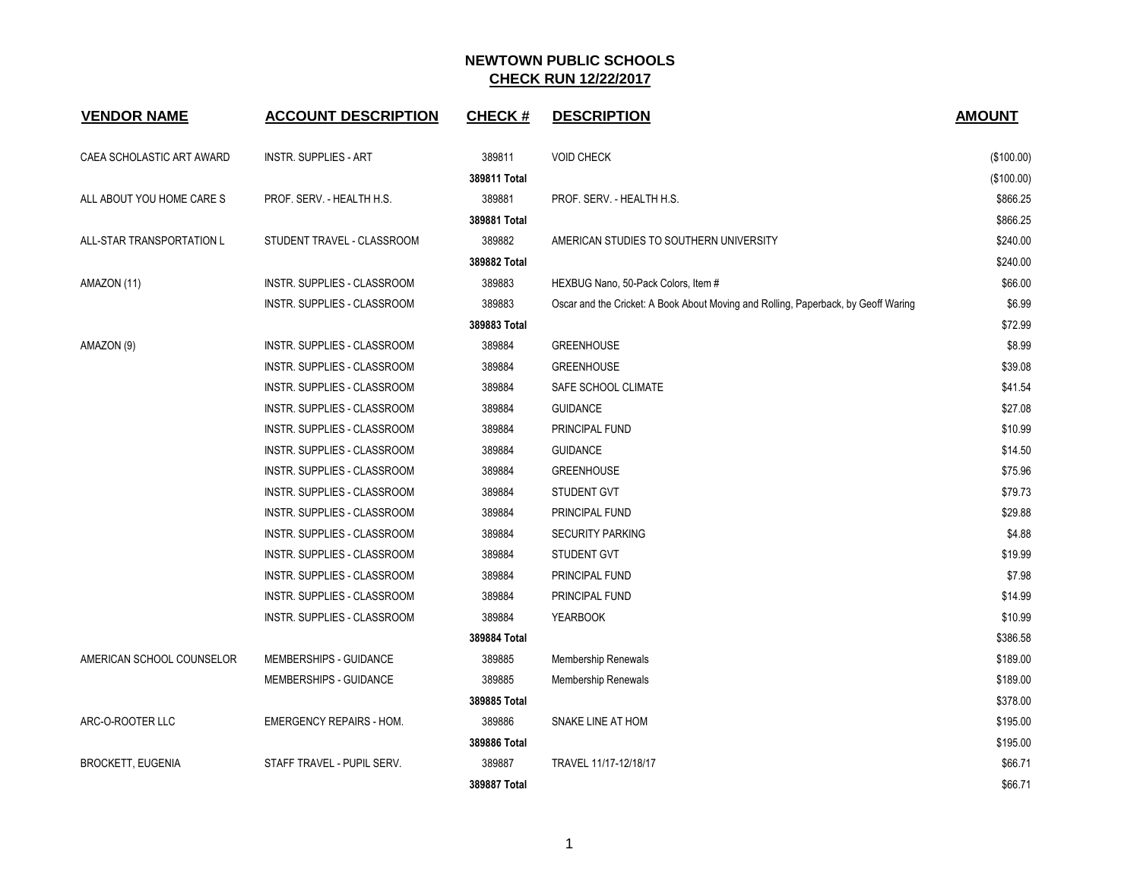| <b>VENDOR NAME</b>        | <b>ACCOUNT DESCRIPTION</b>      | <b>CHECK#</b> | <b>DESCRIPTION</b>                                                                 | <b>AMOUNT</b> |
|---------------------------|---------------------------------|---------------|------------------------------------------------------------------------------------|---------------|
| CAEA SCHOLASTIC ART AWARD | <b>INSTR. SUPPLIES - ART</b>    | 389811        | <b>VOID CHECK</b>                                                                  | (\$100.00)    |
|                           |                                 | 389811 Total  |                                                                                    | (\$100.00)    |
| ALL ABOUT YOU HOME CARE S | PROF. SERV. - HEALTH H.S.       | 389881        | PROF. SERV. - HEALTH H.S.                                                          | \$866.25      |
|                           |                                 | 389881 Total  |                                                                                    | \$866.25      |
| ALL-STAR TRANSPORTATION L | STUDENT TRAVEL - CLASSROOM      | 389882        | AMERICAN STUDIES TO SOUTHERN UNIVERSITY                                            | \$240.00      |
|                           |                                 | 389882 Total  |                                                                                    | \$240.00      |
| AMAZON (11)               | INSTR. SUPPLIES - CLASSROOM     | 389883        | HEXBUG Nano, 50-Pack Colors, Item #                                                | \$66.00       |
|                           | INSTR. SUPPLIES - CLASSROOM     | 389883        | Oscar and the Cricket: A Book About Moving and Rolling, Paperback, by Geoff Waring | \$6.99        |
|                           |                                 | 389883 Total  |                                                                                    | \$72.99       |
| AMAZON (9)                | INSTR. SUPPLIES - CLASSROOM     | 389884        | <b>GREENHOUSE</b>                                                                  | \$8.99        |
|                           | INSTR. SUPPLIES - CLASSROOM     | 389884        | <b>GREENHOUSE</b>                                                                  | \$39.08       |
|                           | INSTR. SUPPLIES - CLASSROOM     | 389884        | SAFE SCHOOL CLIMATE                                                                | \$41.54       |
|                           | INSTR. SUPPLIES - CLASSROOM     | 389884        | <b>GUIDANCE</b>                                                                    | \$27.08       |
|                           | INSTR. SUPPLIES - CLASSROOM     | 389884        | PRINCIPAL FUND                                                                     | \$10.99       |
|                           | INSTR. SUPPLIES - CLASSROOM     | 389884        | <b>GUIDANCE</b>                                                                    | \$14.50       |
|                           | INSTR. SUPPLIES - CLASSROOM     | 389884        | <b>GREENHOUSE</b>                                                                  | \$75.96       |
|                           | INSTR. SUPPLIES - CLASSROOM     | 389884        | <b>STUDENT GVT</b>                                                                 | \$79.73       |
|                           | INSTR. SUPPLIES - CLASSROOM     | 389884        | PRINCIPAL FUND                                                                     | \$29.88       |
|                           | INSTR. SUPPLIES - CLASSROOM     | 389884        | <b>SECURITY PARKING</b>                                                            | \$4.88        |
|                           | INSTR. SUPPLIES - CLASSROOM     | 389884        | STUDENT GVT                                                                        | \$19.99       |
|                           | INSTR. SUPPLIES - CLASSROOM     | 389884        | PRINCIPAL FUND                                                                     | \$7.98        |
|                           | INSTR. SUPPLIES - CLASSROOM     | 389884        | PRINCIPAL FUND                                                                     | \$14.99       |
|                           | INSTR. SUPPLIES - CLASSROOM     | 389884        | <b>YEARBOOK</b>                                                                    | \$10.99       |
|                           |                                 | 389884 Total  |                                                                                    | \$386.58      |
| AMERICAN SCHOOL COUNSELOR | <b>MEMBERSHIPS - GUIDANCE</b>   | 389885        | Membership Renewals                                                                | \$189.00      |
|                           | <b>MEMBERSHIPS - GUIDANCE</b>   | 389885        | <b>Membership Renewals</b>                                                         | \$189.00      |
|                           |                                 | 389885 Total  |                                                                                    | \$378.00      |
| ARC-O-ROOTER LLC          | <b>EMERGENCY REPAIRS - HOM.</b> | 389886        | SNAKE LINE AT HOM                                                                  | \$195.00      |
|                           |                                 | 389886 Total  |                                                                                    | \$195.00      |
| <b>BROCKETT, EUGENIA</b>  | STAFF TRAVEL - PUPIL SERV.      | 389887        | TRAVEL 11/17-12/18/17                                                              | \$66.71       |
|                           |                                 | 389887 Total  |                                                                                    | \$66.71       |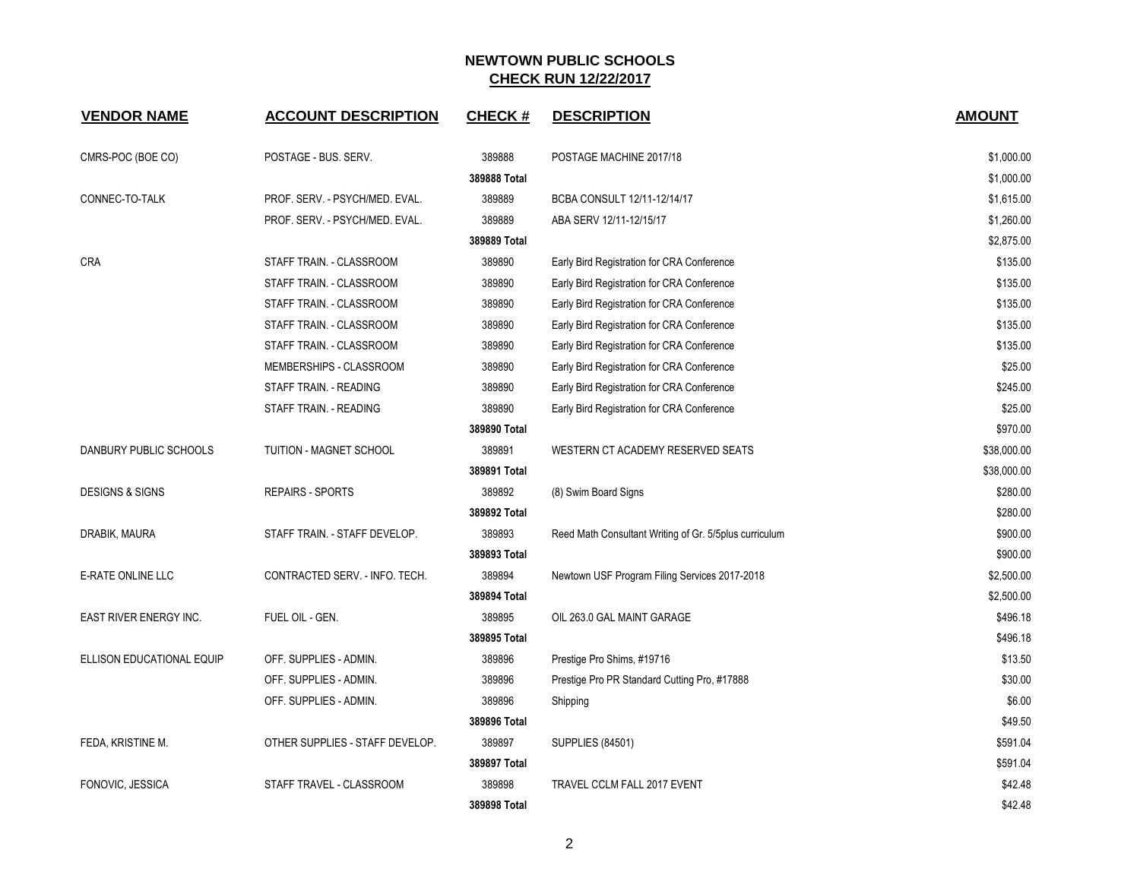| <b>VENDOR NAME</b>         | <b>ACCOUNT DESCRIPTION</b>      | <b>CHECK#</b> | <b>DESCRIPTION</b>                                     | <b>AMOUNT</b> |
|----------------------------|---------------------------------|---------------|--------------------------------------------------------|---------------|
| CMRS-POC (BOE CO)          | POSTAGE - BUS. SERV.            | 389888        | POSTAGE MACHINE 2017/18                                | \$1,000.00    |
|                            |                                 | 389888 Total  |                                                        | \$1,000.00    |
| CONNEC-TO-TALK             | PROF. SERV. - PSYCH/MED. EVAL.  | 389889        | BCBA CONSULT 12/11-12/14/17                            | \$1,615.00    |
|                            | PROF. SERV. - PSYCH/MED. EVAL.  | 389889        | ABA SERV 12/11-12/15/17                                | \$1,260.00    |
|                            |                                 | 389889 Total  |                                                        | \$2,875.00    |
| <b>CRA</b>                 | STAFF TRAIN. - CLASSROOM        | 389890        | Early Bird Registration for CRA Conference             | \$135.00      |
|                            | STAFF TRAIN. - CLASSROOM        | 389890        | Early Bird Registration for CRA Conference             | \$135.00      |
|                            | STAFF TRAIN. - CLASSROOM        | 389890        | Early Bird Registration for CRA Conference             | \$135.00      |
|                            | STAFF TRAIN. - CLASSROOM        | 389890        | Early Bird Registration for CRA Conference             | \$135.00      |
|                            | STAFF TRAIN. - CLASSROOM        | 389890        | Early Bird Registration for CRA Conference             | \$135.00      |
|                            | MEMBERSHIPS - CLASSROOM         | 389890        | Early Bird Registration for CRA Conference             | \$25.00       |
|                            | STAFF TRAIN. - READING          | 389890        | Early Bird Registration for CRA Conference             | \$245.00      |
|                            | STAFF TRAIN. - READING          | 389890        | Early Bird Registration for CRA Conference             | \$25.00       |
|                            |                                 | 389890 Total  |                                                        | \$970.00      |
| DANBURY PUBLIC SCHOOLS     | TUITION - MAGNET SCHOOL         | 389891        | WESTERN CT ACADEMY RESERVED SEATS                      | \$38,000.00   |
|                            |                                 | 389891 Total  |                                                        | \$38,000.00   |
| <b>DESIGNS &amp; SIGNS</b> | <b>REPAIRS - SPORTS</b>         | 389892        | (8) Swim Board Signs                                   | \$280.00      |
|                            |                                 | 389892 Total  |                                                        | \$280.00      |
| DRABIK, MAURA              | STAFF TRAIN. - STAFF DEVELOP.   | 389893        | Reed Math Consultant Writing of Gr. 5/5plus curriculum | \$900.00      |
|                            |                                 | 389893 Total  |                                                        | \$900.00      |
| E-RATE ONLINE LLC          | CONTRACTED SERV. - INFO. TECH.  | 389894        | Newtown USF Program Filing Services 2017-2018          | \$2,500.00    |
|                            |                                 | 389894 Total  |                                                        | \$2,500.00    |
| EAST RIVER ENERGY INC.     | FUEL OIL - GEN.                 | 389895        | OIL 263.0 GAL MAINT GARAGE                             | \$496.18      |
|                            |                                 | 389895 Total  |                                                        | \$496.18      |
| ELLISON EDUCATIONAL EQUIP  | OFF. SUPPLIES - ADMIN.          | 389896        | Prestige Pro Shims, #19716                             | \$13.50       |
|                            | OFF. SUPPLIES - ADMIN.          | 389896        | Prestige Pro PR Standard Cutting Pro, #17888           | \$30.00       |
|                            | OFF. SUPPLIES - ADMIN.          | 389896        | Shipping                                               | \$6.00        |
|                            |                                 | 389896 Total  |                                                        | \$49.50       |
| FEDA, KRISTINE M.          | OTHER SUPPLIES - STAFF DEVELOP. | 389897        | <b>SUPPLIES (84501)</b>                                | \$591.04      |
|                            |                                 | 389897 Total  |                                                        | \$591.04      |
| FONOVIC, JESSICA           | STAFF TRAVEL - CLASSROOM        | 389898        | TRAVEL CCLM FALL 2017 EVENT                            | \$42.48       |
|                            |                                 | 389898 Total  |                                                        | \$42.48       |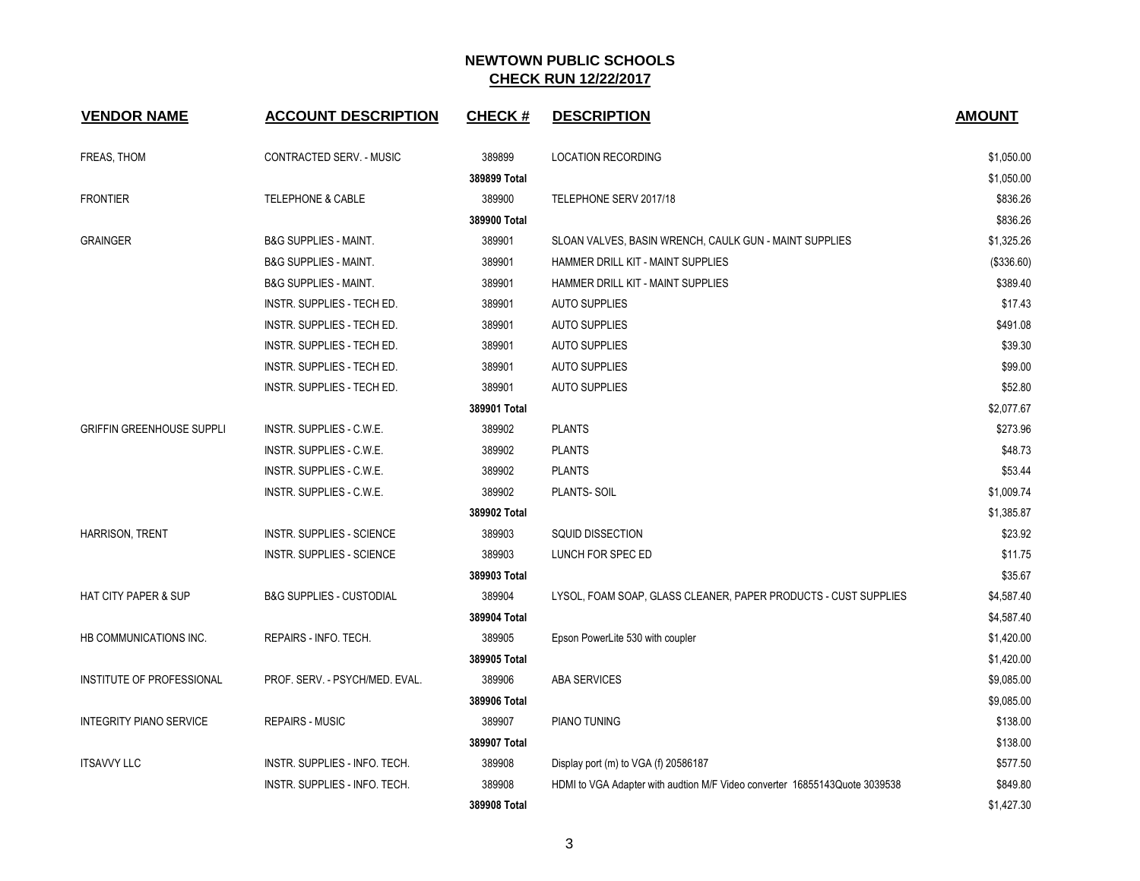| <b>VENDOR NAME</b>               | <b>ACCOUNT DESCRIPTION</b>          | <b>CHECK#</b> | <b>DESCRIPTION</b>                                                         | <b>AMOUNT</b> |
|----------------------------------|-------------------------------------|---------------|----------------------------------------------------------------------------|---------------|
| FREAS, THOM                      | CONTRACTED SERV. - MUSIC            | 389899        | <b>LOCATION RECORDING</b>                                                  | \$1,050.00    |
|                                  |                                     | 389899 Total  |                                                                            | \$1,050.00    |
| <b>FRONTIER</b>                  | <b>TELEPHONE &amp; CABLE</b>        | 389900        | TELEPHONE SERV 2017/18                                                     | \$836.26      |
|                                  |                                     | 389900 Total  |                                                                            | \$836.26      |
| <b>GRAINGER</b>                  | <b>B&amp;G SUPPLIES - MAINT.</b>    | 389901        | SLOAN VALVES, BASIN WRENCH, CAULK GUN - MAINT SUPPLIES                     | \$1,325.26    |
|                                  | <b>B&amp;G SUPPLIES - MAINT.</b>    | 389901        | HAMMER DRILL KIT - MAINT SUPPLIES                                          | (\$336.60)    |
|                                  | <b>B&amp;G SUPPLIES - MAINT.</b>    | 389901        | HAMMER DRILL KIT - MAINT SUPPLIES                                          | \$389.40      |
|                                  | INSTR. SUPPLIES - TECH ED.          | 389901        | <b>AUTO SUPPLIES</b>                                                       | \$17.43       |
|                                  | INSTR. SUPPLIES - TECH ED.          | 389901        | <b>AUTO SUPPLIES</b>                                                       | \$491.08      |
|                                  | INSTR. SUPPLIES - TECH ED.          | 389901        | <b>AUTO SUPPLIES</b>                                                       | \$39.30       |
|                                  | INSTR. SUPPLIES - TECH ED.          | 389901        | <b>AUTO SUPPLIES</b>                                                       | \$99.00       |
|                                  | INSTR. SUPPLIES - TECH ED.          | 389901        | <b>AUTO SUPPLIES</b>                                                       | \$52.80       |
|                                  |                                     | 389901 Total  |                                                                            | \$2,077.67    |
| <b>GRIFFIN GREENHOUSE SUPPLI</b> | INSTR. SUPPLIES - C.W.E.            | 389902        | <b>PLANTS</b>                                                              | \$273.96      |
|                                  | <b>INSTR. SUPPLIES - C.W.E.</b>     | 389902        | <b>PLANTS</b>                                                              | \$48.73       |
|                                  | INSTR. SUPPLIES - C.W.E.            | 389902        | <b>PLANTS</b>                                                              | \$53.44       |
|                                  | INSTR. SUPPLIES - C.W.E.            | 389902        | PLANTS-SOIL                                                                | \$1,009.74    |
|                                  |                                     | 389902 Total  |                                                                            | \$1,385.87    |
| HARRISON, TRENT                  | <b>INSTR. SUPPLIES - SCIENCE</b>    | 389903        | <b>SQUID DISSECTION</b>                                                    | \$23.92       |
|                                  | <b>INSTR. SUPPLIES - SCIENCE</b>    | 389903        | LUNCH FOR SPEC ED                                                          | \$11.75       |
|                                  |                                     | 389903 Total  |                                                                            | \$35.67       |
| <b>HAT CITY PAPER &amp; SUP</b>  | <b>B&amp;G SUPPLIES - CUSTODIAL</b> | 389904        | LYSOL, FOAM SOAP, GLASS CLEANER, PAPER PRODUCTS - CUST SUPPLIES            | \$4,587.40    |
|                                  |                                     | 389904 Total  |                                                                            | \$4,587.40    |
| HB COMMUNICATIONS INC.           | REPAIRS - INFO. TECH.               | 389905        | Epson PowerLite 530 with coupler                                           | \$1,420.00    |
|                                  |                                     | 389905 Total  |                                                                            | \$1,420.00    |
| INSTITUTE OF PROFESSIONAL        | PROF. SERV. - PSYCH/MED. EVAL.      | 389906        | <b>ABA SERVICES</b>                                                        | \$9,085.00    |
|                                  |                                     | 389906 Total  |                                                                            | \$9,085.00    |
| <b>INTEGRITY PIANO SERVICE</b>   | <b>REPAIRS - MUSIC</b>              | 389907        | PIANO TUNING                                                               | \$138.00      |
|                                  |                                     | 389907 Total  |                                                                            | \$138.00      |
| <b>ITSAVVY LLC</b>               | INSTR. SUPPLIES - INFO. TECH.       | 389908        | Display port (m) to VGA (f) 20586187                                       | \$577.50      |
|                                  | INSTR. SUPPLIES - INFO. TECH.       | 389908        | HDMI to VGA Adapter with audtion M/F Video converter 16855143Quote 3039538 | \$849.80      |
|                                  |                                     | 389908 Total  |                                                                            | \$1,427.30    |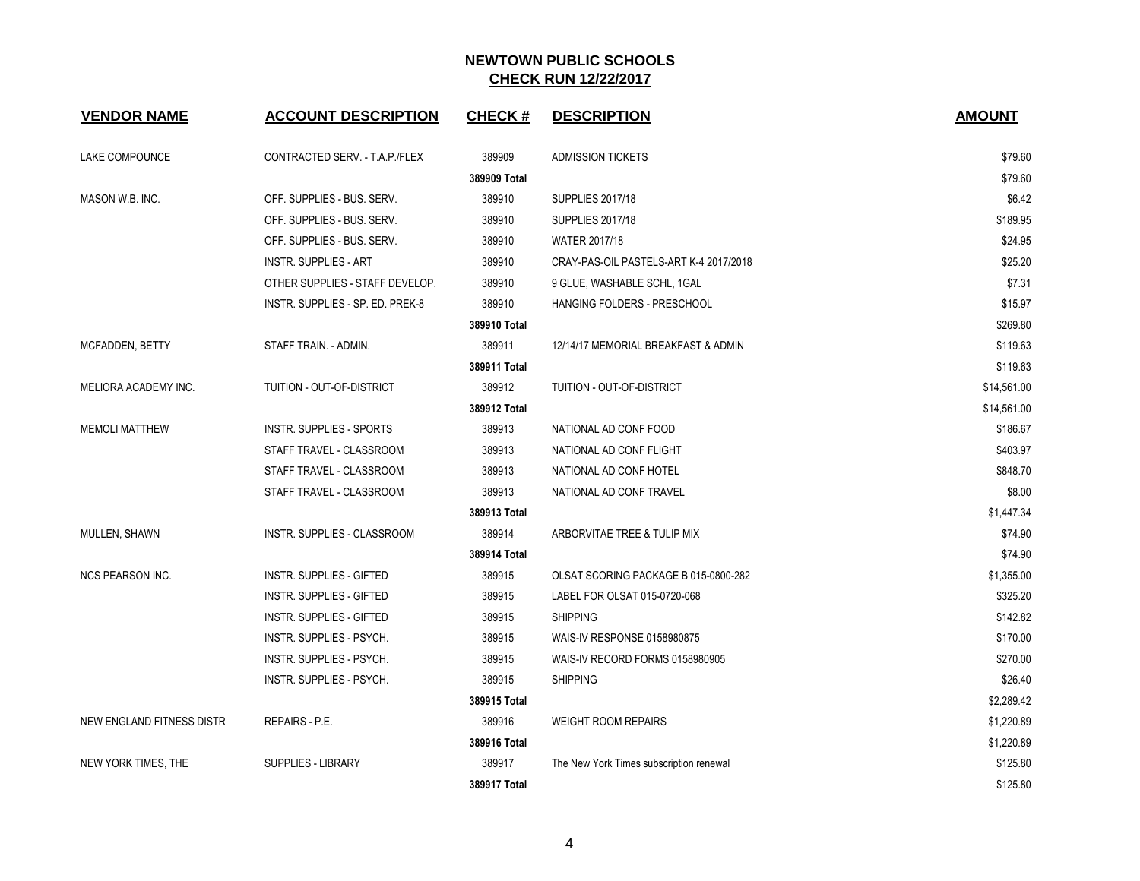| <b>VENDOR NAME</b>        | <b>ACCOUNT DESCRIPTION</b>       | <b>CHECK#</b> | <b>DESCRIPTION</b>                      | <b>AMOUNT</b> |
|---------------------------|----------------------------------|---------------|-----------------------------------------|---------------|
| LAKE COMPOUNCE            | CONTRACTED SERV. - T.A.P./FLEX   | 389909        | <b>ADMISSION TICKETS</b>                | \$79.60       |
|                           |                                  | 389909 Total  |                                         | \$79.60       |
| MASON W.B. INC.           | OFF. SUPPLIES - BUS. SERV.       | 389910        | <b>SUPPLIES 2017/18</b>                 | \$6.42        |
|                           | OFF. SUPPLIES - BUS. SERV.       | 389910        | <b>SUPPLIES 2017/18</b>                 | \$189.95      |
|                           | OFF. SUPPLIES - BUS. SERV.       | 389910        | WATER 2017/18                           | \$24.95       |
|                           | <b>INSTR. SUPPLIES - ART</b>     | 389910        | CRAY-PAS-OIL PASTELS-ART K-4 2017/2018  | \$25.20       |
|                           | OTHER SUPPLIES - STAFF DEVELOP.  | 389910        | 9 GLUE, WASHABLE SCHL, 1GAL             | \$7.31        |
|                           | INSTR. SUPPLIES - SP. ED. PREK-8 | 389910        | HANGING FOLDERS - PRESCHOOL             | \$15.97       |
|                           |                                  | 389910 Total  |                                         | \$269.80      |
| <b>MCFADDEN, BETTY</b>    | STAFF TRAIN. - ADMIN.            | 389911        | 12/14/17 MEMORIAL BREAKFAST & ADMIN     | \$119.63      |
|                           |                                  | 389911 Total  |                                         | \$119.63      |
| MELIORA ACADEMY INC.      | <b>TUITION - OUT-OF-DISTRICT</b> | 389912        | TUITION - OUT-OF-DISTRICT               | \$14,561.00   |
|                           |                                  | 389912 Total  |                                         | \$14,561.00   |
| <b>MEMOLI MATTHEW</b>     | <b>INSTR. SUPPLIES - SPORTS</b>  | 389913        | NATIONAL AD CONF FOOD                   | \$186.67      |
|                           | STAFF TRAVEL - CLASSROOM         | 389913        | NATIONAL AD CONF FLIGHT                 | \$403.97      |
|                           | STAFF TRAVEL - CLASSROOM         | 389913        | NATIONAL AD CONF HOTEL                  | \$848.70      |
|                           | STAFF TRAVEL - CLASSROOM         | 389913        | NATIONAL AD CONF TRAVEL                 | \$8.00        |
|                           |                                  | 389913 Total  |                                         | \$1,447.34    |
| MULLEN, SHAWN             | INSTR. SUPPLIES - CLASSROOM      | 389914        | ARBORVITAE TREE & TULIP MIX             | \$74.90       |
|                           |                                  | 389914 Total  |                                         | \$74.90       |
| <b>NCS PEARSON INC.</b>   | <b>INSTR. SUPPLIES - GIFTED</b>  | 389915        | OLSAT SCORING PACKAGE B 015-0800-282    | \$1,355.00    |
|                           | <b>INSTR. SUPPLIES - GIFTED</b>  | 389915        | LABEL FOR OLSAT 015-0720-068            | \$325.20      |
|                           | <b>INSTR. SUPPLIES - GIFTED</b>  | 389915        | <b>SHIPPING</b>                         | \$142.82      |
|                           | INSTR. SUPPLIES - PSYCH.         | 389915        | WAIS-IV RESPONSE 0158980875             | \$170.00      |
|                           | INSTR. SUPPLIES - PSYCH.         | 389915        | WAIS-IV RECORD FORMS 0158980905         | \$270.00      |
|                           | INSTR. SUPPLIES - PSYCH.         | 389915        | <b>SHIPPING</b>                         | \$26.40       |
|                           |                                  | 389915 Total  |                                         | \$2,289.42    |
| NEW ENGLAND FITNESS DISTR | REPAIRS - P.E.                   | 389916        | <b>WEIGHT ROOM REPAIRS</b>              | \$1,220.89    |
|                           |                                  | 389916 Total  |                                         | \$1,220.89    |
| NEW YORK TIMES, THE       | <b>SUPPLIES - LIBRARY</b>        | 389917        | The New York Times subscription renewal | \$125.80      |
|                           |                                  | 389917 Total  |                                         | \$125.80      |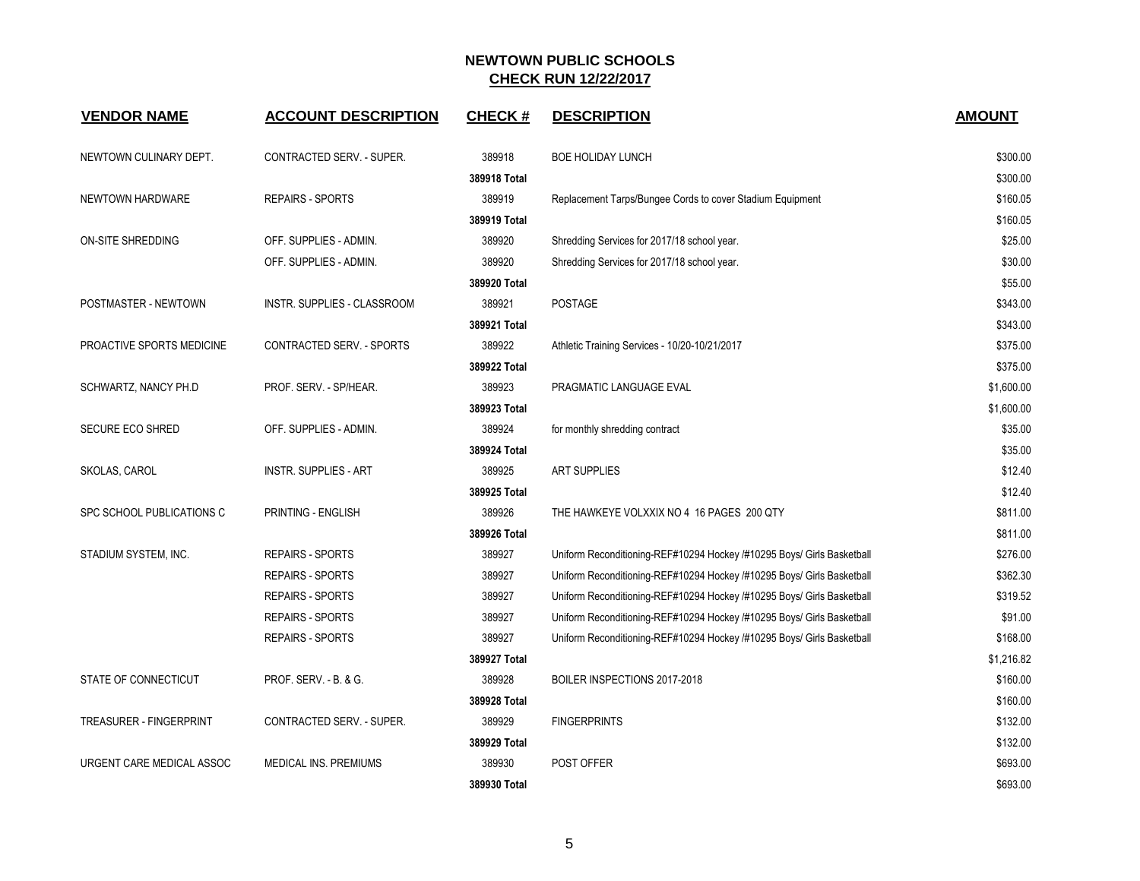| <b>VENDOR NAME</b>             | <b>ACCOUNT DESCRIPTION</b>   | <b>CHECK#</b> | <b>DESCRIPTION</b>                                                     | <b>AMOUNT</b> |
|--------------------------------|------------------------------|---------------|------------------------------------------------------------------------|---------------|
| NEWTOWN CULINARY DEPT.         | CONTRACTED SERV. - SUPER.    | 389918        | <b>BOE HOLIDAY LUNCH</b>                                               | \$300.00      |
|                                |                              | 389918 Total  |                                                                        | \$300.00      |
| NEWTOWN HARDWARE               | <b>REPAIRS - SPORTS</b>      | 389919        | Replacement Tarps/Bungee Cords to cover Stadium Equipment              | \$160.05      |
|                                |                              | 389919 Total  |                                                                        | \$160.05      |
| ON-SITE SHREDDING              | OFF. SUPPLIES - ADMIN.       | 389920        | Shredding Services for 2017/18 school year.                            | \$25.00       |
|                                | OFF. SUPPLIES - ADMIN.       | 389920        | Shredding Services for 2017/18 school year.                            | \$30.00       |
|                                |                              | 389920 Total  |                                                                        | \$55.00       |
| POSTMASTER - NEWTOWN           | INSTR. SUPPLIES - CLASSROOM  | 389921        | POSTAGE                                                                | \$343.00      |
|                                |                              | 389921 Total  |                                                                        | \$343.00      |
| PROACTIVE SPORTS MEDICINE      | CONTRACTED SERV. - SPORTS    | 389922        | Athletic Training Services - 10/20-10/21/2017                          | \$375.00      |
|                                |                              | 389922 Total  |                                                                        | \$375.00      |
| SCHWARTZ, NANCY PH.D           | PROF. SERV. - SP/HEAR.       | 389923        | PRAGMATIC LANGUAGE EVAL                                                | \$1,600.00    |
|                                |                              | 389923 Total  |                                                                        | \$1,600.00    |
| <b>SECURE ECO SHRED</b>        | OFF. SUPPLIES - ADMIN.       | 389924        | for monthly shredding contract                                         | \$35.00       |
|                                |                              | 389924 Total  |                                                                        | \$35.00       |
| SKOLAS, CAROL                  | <b>INSTR. SUPPLIES - ART</b> | 389925        | <b>ART SUPPLIES</b>                                                    | \$12.40       |
|                                |                              | 389925 Total  |                                                                        | \$12.40       |
| SPC SCHOOL PUBLICATIONS C      | PRINTING - ENGLISH           | 389926        | THE HAWKEYE VOLXXIX NO 4 16 PAGES 200 QTY                              | \$811.00      |
|                                |                              | 389926 Total  |                                                                        | \$811.00      |
| STADIUM SYSTEM, INC.           | <b>REPAIRS - SPORTS</b>      | 389927        | Uniform Reconditioning-REF#10294 Hockey /#10295 Boys/ Girls Basketball | \$276.00      |
|                                | <b>REPAIRS - SPORTS</b>      | 389927        | Uniform Reconditioning-REF#10294 Hockey /#10295 Boys/ Girls Basketball | \$362.30      |
|                                | <b>REPAIRS - SPORTS</b>      | 389927        | Uniform Reconditioning-REF#10294 Hockey /#10295 Boys/ Girls Basketball | \$319.52      |
|                                | <b>REPAIRS - SPORTS</b>      | 389927        | Uniform Reconditioning-REF#10294 Hockey /#10295 Boys/ Girls Basketball | \$91.00       |
|                                | <b>REPAIRS - SPORTS</b>      | 389927        | Uniform Reconditioning-REF#10294 Hockey /#10295 Boys/ Girls Basketball | \$168.00      |
|                                |                              | 389927 Total  |                                                                        | \$1,216.82    |
| STATE OF CONNECTICUT           | PROF. SERV. - B. & G.        | 389928        | BOILER INSPECTIONS 2017-2018                                           | \$160.00      |
|                                |                              | 389928 Total  |                                                                        | \$160.00      |
| <b>TREASURER - FINGERPRINT</b> | CONTRACTED SERV. - SUPER.    | 389929        | <b>FINGERPRINTS</b>                                                    | \$132.00      |
|                                |                              | 389929 Total  |                                                                        | \$132.00      |
| URGENT CARE MEDICAL ASSOC      | MEDICAL INS. PREMIUMS        | 389930        | POST OFFER                                                             | \$693.00      |
|                                |                              | 389930 Total  |                                                                        | \$693.00      |